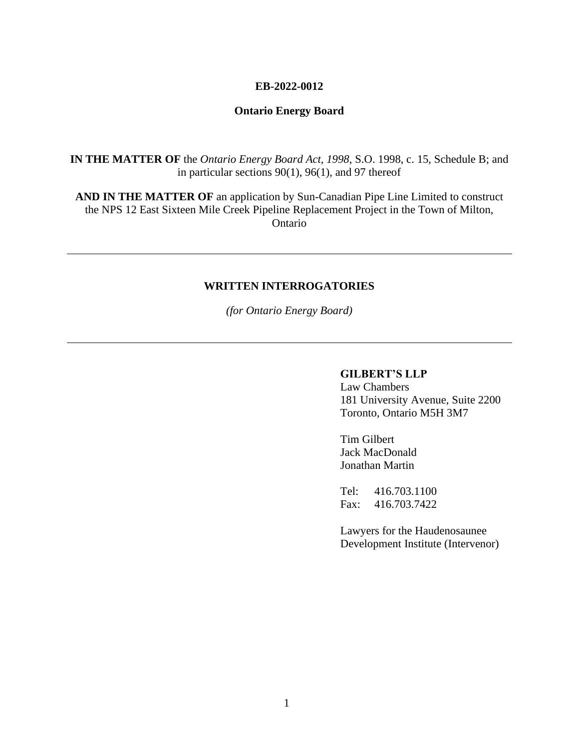#### **EB-2022-0012**

### **Ontario Energy Board**

**IN THE MATTER OF** the *Ontario Energy Board Act, 1998*, S.O. 1998, c. 15, Schedule B; and in particular sections 90(1), 96(1), and 97 thereof

**AND IN THE MATTER OF** an application by Sun-Canadian Pipe Line Limited to construct the NPS 12 East Sixteen Mile Creek Pipeline Replacement Project in the Town of Milton, Ontario

#### **WRITTEN INTERROGATORIES**

*(for Ontario Energy Board)*

#### **GILBERT'S LLP**

Law Chambers 181 University Avenue, Suite 2200 Toronto, Ontario M5H 3M7

Tim Gilbert Jack MacDonald Jonathan Martin

Tel: 416.703.1100 Fax: 416.703.7422

Lawyers for the Haudenosaunee Development Institute (Intervenor)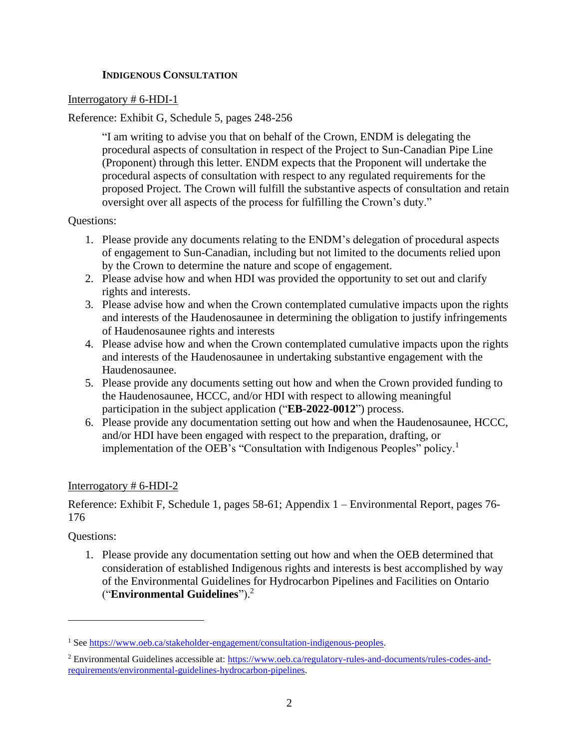## **INDIGENOUS CONSULTATION**

## Interrogatory # 6-HDI-1

# Reference: Exhibit G, Schedule 5, pages 248-256

"I am writing to advise you that on behalf of the Crown, ENDM is delegating the procedural aspects of consultation in respect of the Project to Sun-Canadian Pipe Line (Proponent) through this letter. ENDM expects that the Proponent will undertake the procedural aspects of consultation with respect to any regulated requirements for the proposed Project. The Crown will fulfill the substantive aspects of consultation and retain oversight over all aspects of the process for fulfilling the Crown's duty."

### Questions:

- 1. Please provide any documents relating to the ENDM's delegation of procedural aspects of engagement to Sun-Canadian, including but not limited to the documents relied upon by the Crown to determine the nature and scope of engagement.
- 2. Please advise how and when HDI was provided the opportunity to set out and clarify rights and interests.
- 3. Please advise how and when the Crown contemplated cumulative impacts upon the rights and interests of the Haudenosaunee in determining the obligation to justify infringements of Haudenosaunee rights and interests
- 4. Please advise how and when the Crown contemplated cumulative impacts upon the rights and interests of the Haudenosaunee in undertaking substantive engagement with the Haudenosaunee.
- 5. Please provide any documents setting out how and when the Crown provided funding to the Haudenosaunee, HCCC, and/or HDI with respect to allowing meaningful participation in the subject application ("**EB-2022-0012**") process.
- 6. Please provide any documentation setting out how and when the Haudenosaunee, HCCC, and/or HDI have been engaged with respect to the preparation, drafting, or implementation of the OEB's "Consultation with Indigenous Peoples" policy.<sup>1</sup>

# Interrogatory # 6-HDI-2

Reference: Exhibit F, Schedule 1, pages 58-61; Appendix 1 – Environmental Report, pages 76- 176

### Questions:

1. Please provide any documentation setting out how and when the OEB determined that consideration of established Indigenous rights and interests is best accomplished by way of the Environmental Guidelines for Hydrocarbon Pipelines and Facilities on Ontario ("**Environmental Guidelines**"). 2

<sup>&</sup>lt;sup>1</sup> See [https://www.oeb.ca/stakeholder-engagement/consultation-indigenous-peoples.](https://www.oeb.ca/stakeholder-engagement/consultation-indigenous-peoples)

<sup>2</sup> Environmental Guidelines accessible at: [https://www.oeb.ca/regulatory-rules-and-documents/rules-codes-and](https://www.oeb.ca/regulatory-rules-and-documents/rules-codes-and-requirements/environmental-guidelines-hydrocarbon-pipelines)[requirements/environmental-guidelines-hydrocarbon-pipelines.](https://www.oeb.ca/regulatory-rules-and-documents/rules-codes-and-requirements/environmental-guidelines-hydrocarbon-pipelines)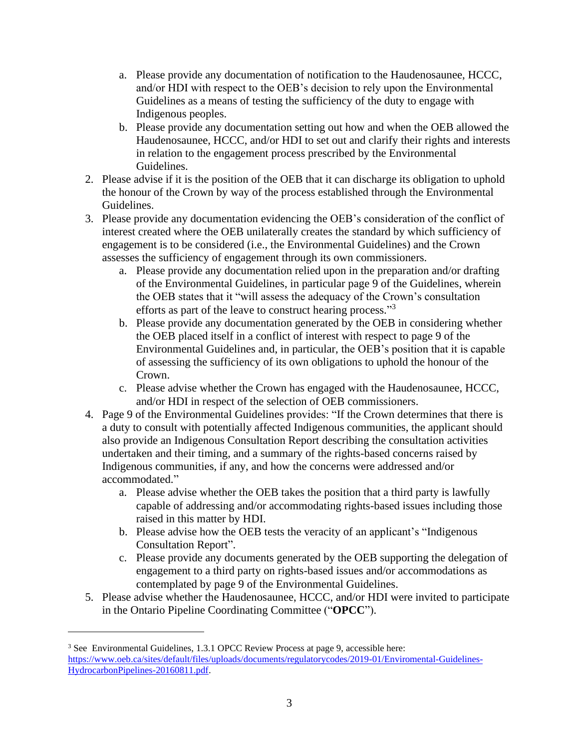- a. Please provide any documentation of notification to the Haudenosaunee, HCCC, and/or HDI with respect to the OEB's decision to rely upon the Environmental Guidelines as a means of testing the sufficiency of the duty to engage with Indigenous peoples.
- b. Please provide any documentation setting out how and when the OEB allowed the Haudenosaunee, HCCC, and/or HDI to set out and clarify their rights and interests in relation to the engagement process prescribed by the Environmental Guidelines.
- 2. Please advise if it is the position of the OEB that it can discharge its obligation to uphold the honour of the Crown by way of the process established through the Environmental Guidelines.
- 3. Please provide any documentation evidencing the OEB's consideration of the conflict of interest created where the OEB unilaterally creates the standard by which sufficiency of engagement is to be considered (i.e., the Environmental Guidelines) and the Crown assesses the sufficiency of engagement through its own commissioners.
	- a. Please provide any documentation relied upon in the preparation and/or drafting of the Environmental Guidelines, in particular page 9 of the Guidelines, wherein the OEB states that it "will assess the adequacy of the Crown's consultation efforts as part of the leave to construct hearing process."<sup>3</sup>
	- b. Please provide any documentation generated by the OEB in considering whether the OEB placed itself in a conflict of interest with respect to page 9 of the Environmental Guidelines and, in particular, the OEB's position that it is capable of assessing the sufficiency of its own obligations to uphold the honour of the Crown.
	- c. Please advise whether the Crown has engaged with the Haudenosaunee, HCCC, and/or HDI in respect of the selection of OEB commissioners.
- 4. Page 9 of the Environmental Guidelines provides: "If the Crown determines that there is a duty to consult with potentially affected Indigenous communities, the applicant should also provide an Indigenous Consultation Report describing the consultation activities undertaken and their timing, and a summary of the rights-based concerns raised by Indigenous communities, if any, and how the concerns were addressed and/or accommodated."
	- a. Please advise whether the OEB takes the position that a third party is lawfully capable of addressing and/or accommodating rights-based issues including those raised in this matter by HDI.
	- b. Please advise how the OEB tests the veracity of an applicant's "Indigenous Consultation Report".
	- c. Please provide any documents generated by the OEB supporting the delegation of engagement to a third party on rights-based issues and/or accommodations as contemplated by page 9 of the Environmental Guidelines.
- 5. Please advise whether the Haudenosaunee, HCCC, and/or HDI were invited to participate in the Ontario Pipeline Coordinating Committee ("**OPCC**").

<sup>3</sup> See Environmental Guidelines, 1.3.1 OPCC Review Process at page 9, accessible here: [https://www.oeb.ca/sites/default/files/uploads/documents/regulatorycodes/2019-01/Enviromental-Guidelines-](https://www.oeb.ca/sites/default/files/uploads/documents/regulatorycodes/2019-01/Enviromental-Guidelines-HydrocarbonPipelines-20160811.pdf)[HydrocarbonPipelines-20160811.pdf.](https://www.oeb.ca/sites/default/files/uploads/documents/regulatorycodes/2019-01/Enviromental-Guidelines-HydrocarbonPipelines-20160811.pdf)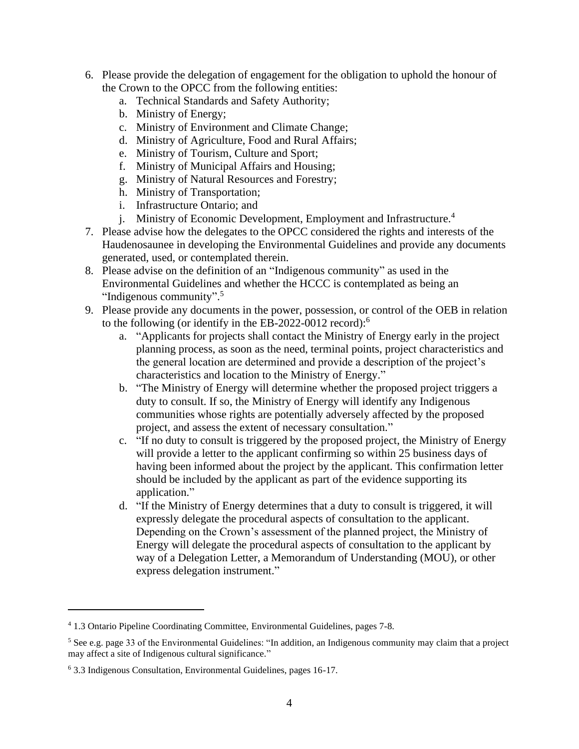- 6. Please provide the delegation of engagement for the obligation to uphold the honour of the Crown to the OPCC from the following entities:
	- a. Technical Standards and Safety Authority;
	- b. Ministry of Energy;
	- c. Ministry of Environment and Climate Change;
	- d. Ministry of Agriculture, Food and Rural Affairs;
	- e. Ministry of Tourism, Culture and Sport;
	- f. Ministry of Municipal Affairs and Housing;
	- g. Ministry of Natural Resources and Forestry;
	- h. Ministry of Transportation;
	- i. Infrastructure Ontario; and
	- j. Ministry of Economic Development, Employment and Infrastructure. 4
- 7. Please advise how the delegates to the OPCC considered the rights and interests of the Haudenosaunee in developing the Environmental Guidelines and provide any documents generated, used, or contemplated therein.
- 8. Please advise on the definition of an "Indigenous community" as used in the Environmental Guidelines and whether the HCCC is contemplated as being an "Indigenous community".<sup>5</sup>
- 9. Please provide any documents in the power, possession, or control of the OEB in relation to the following (or identify in the EB-2022-0012 record):<sup>6</sup>
	- a. "Applicants for projects shall contact the Ministry of Energy early in the project planning process, as soon as the need, terminal points, project characteristics and the general location are determined and provide a description of the project's characteristics and location to the Ministry of Energy."
	- b. "The Ministry of Energy will determine whether the proposed project triggers a duty to consult. If so, the Ministry of Energy will identify any Indigenous communities whose rights are potentially adversely affected by the proposed project, and assess the extent of necessary consultation."
	- c. "If no duty to consult is triggered by the proposed project, the Ministry of Energy will provide a letter to the applicant confirming so within 25 business days of having been informed about the project by the applicant. This confirmation letter should be included by the applicant as part of the evidence supporting its application."
	- d. "If the Ministry of Energy determines that a duty to consult is triggered, it will expressly delegate the procedural aspects of consultation to the applicant. Depending on the Crown's assessment of the planned project, the Ministry of Energy will delegate the procedural aspects of consultation to the applicant by way of a Delegation Letter, a Memorandum of Understanding (MOU), or other express delegation instrument."

<sup>4</sup> 1.3 Ontario Pipeline Coordinating Committee, Environmental Guidelines, pages 7-8.

<sup>&</sup>lt;sup>5</sup> See e.g. page 33 of the Environmental Guidelines: "In addition, an Indigenous community may claim that a project may affect a site of Indigenous cultural significance."

<sup>6</sup> 3.3 Indigenous Consultation, Environmental Guidelines, pages 16-17.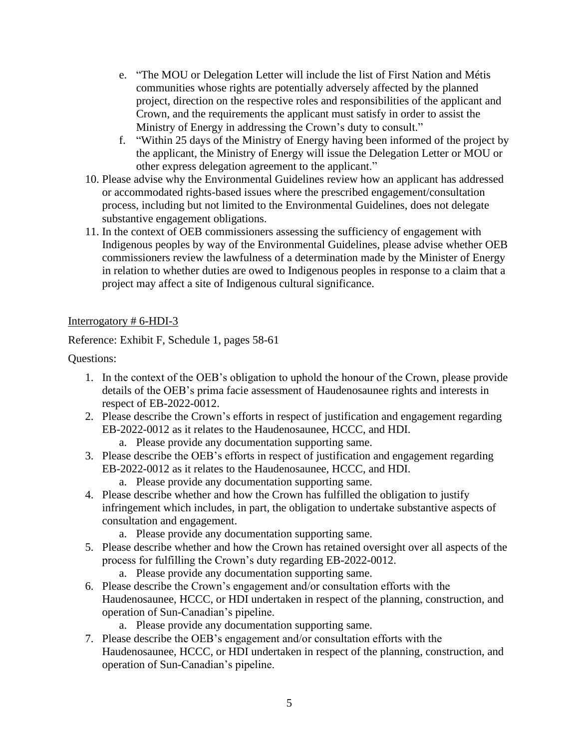- e. "The MOU or Delegation Letter will include the list of First Nation and Métis communities whose rights are potentially adversely affected by the planned project, direction on the respective roles and responsibilities of the applicant and Crown, and the requirements the applicant must satisfy in order to assist the Ministry of Energy in addressing the Crown's duty to consult."
- f. "Within 25 days of the Ministry of Energy having been informed of the project by the applicant, the Ministry of Energy will issue the Delegation Letter or MOU or other express delegation agreement to the applicant."
- 10. Please advise why the Environmental Guidelines review how an applicant has addressed or accommodated rights-based issues where the prescribed engagement/consultation process, including but not limited to the Environmental Guidelines, does not delegate substantive engagement obligations.
- 11. In the context of OEB commissioners assessing the sufficiency of engagement with Indigenous peoples by way of the Environmental Guidelines, please advise whether OEB commissioners review the lawfulness of a determination made by the Minister of Energy in relation to whether duties are owed to Indigenous peoples in response to a claim that a project may affect a site of Indigenous cultural significance.

# Interrogatory # 6-HDI-3

Reference: Exhibit F, Schedule 1, pages 58-61

Questions:

- 1. In the context of the OEB's obligation to uphold the honour of the Crown, please provide details of the OEB's prima facie assessment of Haudenosaunee rights and interests in respect of EB-2022-0012.
- 2. Please describe the Crown's efforts in respect of justification and engagement regarding EB-2022-0012 as it relates to the Haudenosaunee, HCCC, and HDI.
	- a. Please provide any documentation supporting same.
- 3. Please describe the OEB's efforts in respect of justification and engagement regarding EB-2022-0012 as it relates to the Haudenosaunee, HCCC, and HDI.
	- a. Please provide any documentation supporting same.
- 4. Please describe whether and how the Crown has fulfilled the obligation to justify infringement which includes, in part, the obligation to undertake substantive aspects of consultation and engagement.
	- a. Please provide any documentation supporting same.
- 5. Please describe whether and how the Crown has retained oversight over all aspects of the process for fulfilling the Crown's duty regarding EB-2022-0012.
	- a. Please provide any documentation supporting same.
- 6. Please describe the Crown's engagement and/or consultation efforts with the Haudenosaunee, HCCC, or HDI undertaken in respect of the planning, construction, and operation of Sun-Canadian's pipeline.
	- a. Please provide any documentation supporting same.
- 7. Please describe the OEB's engagement and/or consultation efforts with the Haudenosaunee, HCCC, or HDI undertaken in respect of the planning, construction, and operation of Sun-Canadian's pipeline.